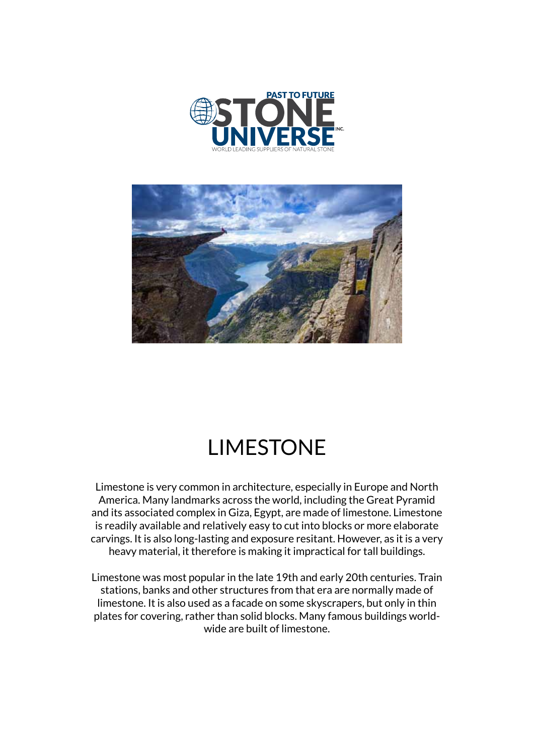



## LIMESTONE

Limestone is very common in architecture, especially in Europe and North America. Many landmarks across the world, including the Great Pyramid and its associated complex in Giza, Egypt, are made of limestone. Limestone is readily available and relatively easy to cut into blocks or more elaborate carvings. It is also long-lasting and exposure resitant. However, as it is a very heavy material, it therefore is making it impractical for tall buildings.

Limestone was most popular in the late 19th and early 20th centuries. Train stations, banks and other structures from that era are normally made of limestone. It is also used as a facade on some skyscrapers, but only in thin plates for covering, rather than solid blocks. Many famous buildings worldwide are built of limestone.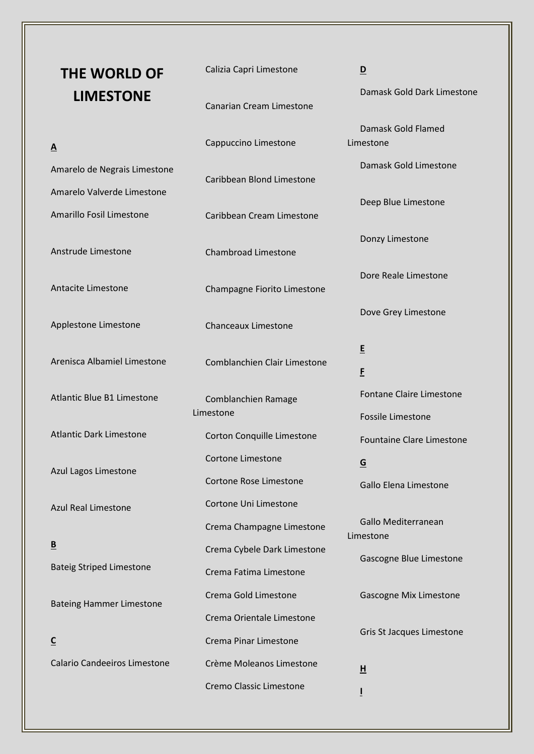| <b>THE WORLD OF</b>                 | Calizia Capri Limestone          | $\overline{\mathbf{D}}$                                      |
|-------------------------------------|----------------------------------|--------------------------------------------------------------|
| <b>LIMESTONE</b>                    | <b>Canarian Cream Limestone</b>  | Damask Gold Dark Limestone                                   |
| $\underline{A}$                     | Cappuccino Limestone             | Damask Gold Flamed<br>Limestone                              |
| Amarelo de Negrais Limestone        |                                  | Damask Gold Limestone                                        |
| Amarelo Valverde Limestone          | Caribbean Blond Limestone        |                                                              |
| Amarillo Fosil Limestone            | Caribbean Cream Limestone        | Deep Blue Limestone                                          |
| Anstrude Limestone                  | <b>Chambroad Limestone</b>       | Donzy Limestone                                              |
| Antacite Limestone                  | Champagne Fiorito Limestone      | Dore Reale Limestone                                         |
| Applestone Limestone                | <b>Chanceaux Limestone</b>       | Dove Grey Limestone                                          |
| Arenisca Albamiel Limestone         | Comblanchien Clair Limestone     | E<br>E                                                       |
| <b>Atlantic Blue B1 Limestone</b>   | Comblanchien Ramage<br>Limestone | Fontane Claire Limestone                                     |
| <b>Atlantic Dark Limestone</b>      | Corton Conquille Limestone       | <b>Fossile Limestone</b><br><b>Fountaine Clare Limestone</b> |
| Azul Lagos Limestone                | Cortone Limestone                | $\underline{\mathsf{G}}$                                     |
|                                     | Cortone Rose Limestone           | Gallo Elena Limestone                                        |
| <b>Azul Real Limestone</b>          | Cortone Uni Limestone            |                                                              |
|                                     | Crema Champagne Limestone        | Gallo Mediterranean<br>Limestone                             |
| $\underline{\mathbf{B}}$            | Crema Cybele Dark Limestone      | Gascogne Blue Limestone                                      |
| <b>Bateig Striped Limestone</b>     | Crema Fatima Limestone           |                                                              |
| <b>Bateing Hammer Limestone</b>     | Crema Gold Limestone             | <b>Gascogne Mix Limestone</b>                                |
|                                     | Crema Orientale Limestone        |                                                              |
| $\underline{\mathsf{C}}$            | <b>Crema Pinar Limestone</b>     | Gris St Jacques Limestone                                    |
| <b>Calario Candeeiros Limestone</b> | Crème Moleanos Limestone         | $\underline{\mathsf{H}}$                                     |
|                                     | Cremo Classic Limestone          |                                                              |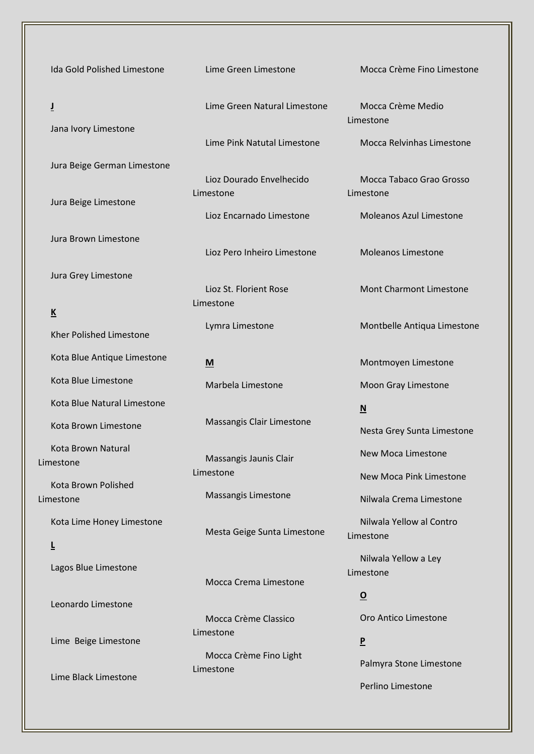Ida Gold Polished Limestone **J** Jana Ivory Limestone Jura Beige German Limestone Jura Beige Limestone Jura Brown Limestone Jura Grey Limestone **K** Kher Polished Limestone Kota Blue Antique Limestone Kota Blue Limestone Kota Blue Natural Limestone Kota Brown Limestone Kota Brown Natural Limestone Kota Brown Polished Limestone Kota Lime Honey Limestone **L** Lagos Blue Limestone Leonardo Limestone Lime Beige Limestone Lime Black Limestone

Lime Green Limestone

Lime Green Natural Limestone

Lime Pink Natutal Limestone

Lioz Dourado Envelhecido Limestone

Lioz Encarnado Limestone

Lioz Pero Inheiro Limestone

Lioz St. Florient Rose Limestone

Lymra Limestone

**M**

Marbela Limestone

Massangis Clair Limestone

Massangis Jaunis Clair Limestone

Massangis Limestone

Mesta Geige Sunta Limestone

Mocca Crema Limestone

Mocca Crème Classico Limestone Mocca Crème Fino Light

Limestone

Mocca Crème Fino Limestone

Mocca Crème Medio Limestone

Mocca Relvinhas Limestone

Mocca Tabaco Grao Grosso Limestone

Moleanos Azul Limestone

Moleanos Limestone

Mont Charmont Limestone

Montbelle Antiqua Limestone

Montmoyen Limestone

Moon Gray Limestone

## **N**

Nesta Grey Sunta Limestone

New Moca Limestone

New Moca Pink Limestone

Nilwala Crema Limestone

Nilwala Yellow al Contro Limestone

Nilwala Yellow a Ley Limestone

**O**

Oro Antico Limestone

**P** Palmyra Stone Limestone

Perlino Limestone